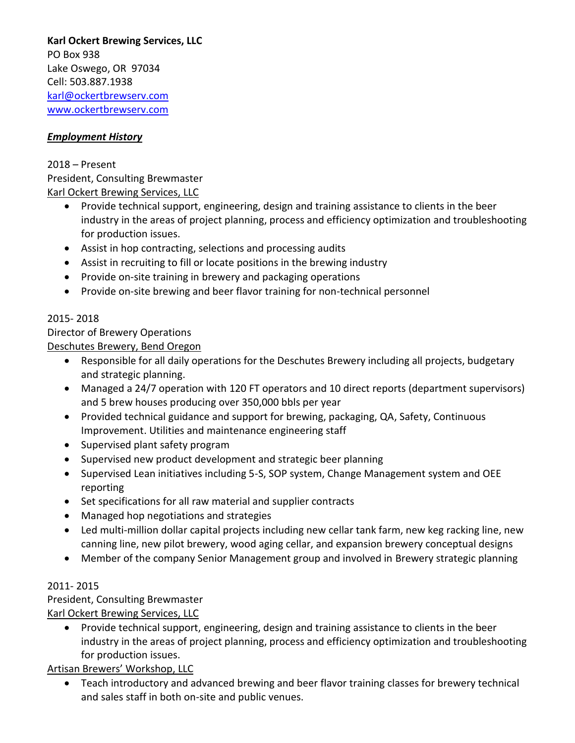**Karl Ockert Brewing Services, LLC** PO Box 938 Lake Oswego, OR 97034 Cell: 503.887.1938 [karl@ockertbrewserv.com](mailto:karl@ockertbrewserv.com) [www.ockertbrewserv.com](http://www.ockertbrewserv.com/)

## *Employment History*

2018 – Present President, Consulting Brewmaster Karl Ockert Brewing Services, LLC

- Provide technical support, engineering, design and training assistance to clients in the beer industry in the areas of project planning, process and efficiency optimization and troubleshooting for production issues.
- Assist in hop contracting, selections and processing audits
- Assist in recruiting to fill or locate positions in the brewing industry
- Provide on-site training in brewery and packaging operations
- Provide on-site brewing and beer flavor training for non-technical personnel

# 2015- 2018

Director of Brewery Operations

Deschutes Brewery, Bend Oregon

- Responsible for all daily operations for the Deschutes Brewery including all projects, budgetary and strategic planning.
- Managed a 24/7 operation with 120 FT operators and 10 direct reports (department supervisors) and 5 brew houses producing over 350,000 bbls per year
- Provided technical guidance and support for brewing, packaging, QA, Safety, Continuous Improvement. Utilities and maintenance engineering staff
- Supervised plant safety program
- Supervised new product development and strategic beer planning
- Supervised Lean initiatives including 5-S, SOP system, Change Management system and OEE reporting
- Set specifications for all raw material and supplier contracts
- Managed hop negotiations and strategies
- Led multi-million dollar capital projects including new cellar tank farm, new keg racking line, new canning line, new pilot brewery, wood aging cellar, and expansion brewery conceptual designs
- Member of the company Senior Management group and involved in Brewery strategic planning

# 2011- 2015

President, Consulting Brewmaster

Karl Ockert Brewing Services, LLC

• Provide technical support, engineering, design and training assistance to clients in the beer industry in the areas of project planning, process and efficiency optimization and troubleshooting for production issues.

Artisan Brewers' Workshop, LLC

• Teach introductory and advanced brewing and beer flavor training classes for brewery technical and sales staff in both on-site and public venues.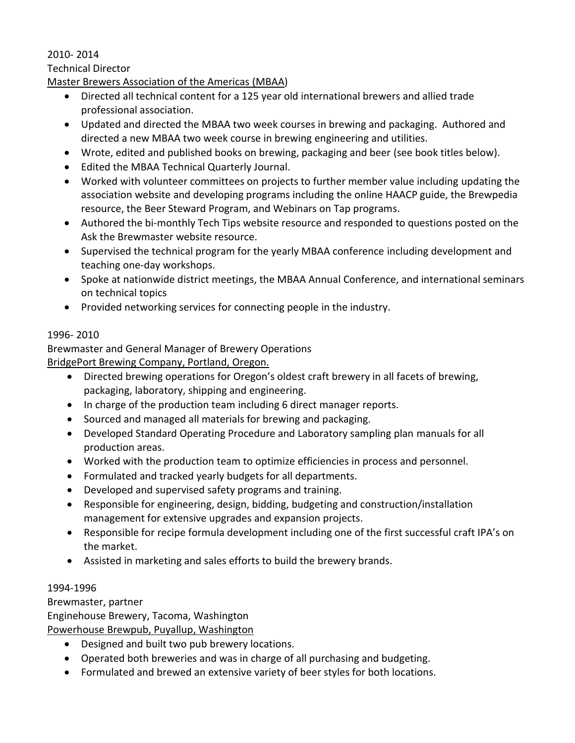## 2010- 2014

### Technical Director

Master Brewers Association of the Americas (MBAA)

- Directed all technical content for a 125 year old international brewers and allied trade professional association.
- Updated and directed the MBAA two week courses in brewing and packaging. Authored and directed a new MBAA two week course in brewing engineering and utilities.
- Wrote, edited and published books on brewing, packaging and beer (see book titles below).
- Edited the MBAA Technical Quarterly Journal.
- Worked with volunteer committees on projects to further member value including updating the association website and developing programs including the online HAACP guide, the Brewpedia resource, the Beer Steward Program, and Webinars on Tap programs.
- Authored the bi-monthly Tech Tips website resource and responded to questions posted on the Ask the Brewmaster website resource.
- Supervised the technical program for the yearly MBAA conference including development and teaching one-day workshops.
- Spoke at nationwide district meetings, the MBAA Annual Conference, and international seminars on technical topics
- Provided networking services for connecting people in the industry.

## 1996- 2010

Brewmaster and General Manager of Brewery Operations

BridgePort Brewing Company, Portland, Oregon.

- Directed brewing operations for Oregon's oldest craft brewery in all facets of brewing, packaging, laboratory, shipping and engineering.
- In charge of the production team including 6 direct manager reports.
- Sourced and managed all materials for brewing and packaging.
- Developed Standard Operating Procedure and Laboratory sampling plan manuals for all production areas.
- Worked with the production team to optimize efficiencies in process and personnel.
- Formulated and tracked yearly budgets for all departments.
- Developed and supervised safety programs and training.
- Responsible for engineering, design, bidding, budgeting and construction/installation management for extensive upgrades and expansion projects.
- Responsible for recipe formula development including one of the first successful craft IPA's on the market.
- Assisted in marketing and sales efforts to build the brewery brands.

## 1994-1996

Brewmaster, partner

Enginehouse Brewery, Tacoma, Washington

Powerhouse Brewpub, Puyallup, Washington

- Designed and built two pub brewery locations.
- Operated both breweries and was in charge of all purchasing and budgeting.
- Formulated and brewed an extensive variety of beer styles for both locations.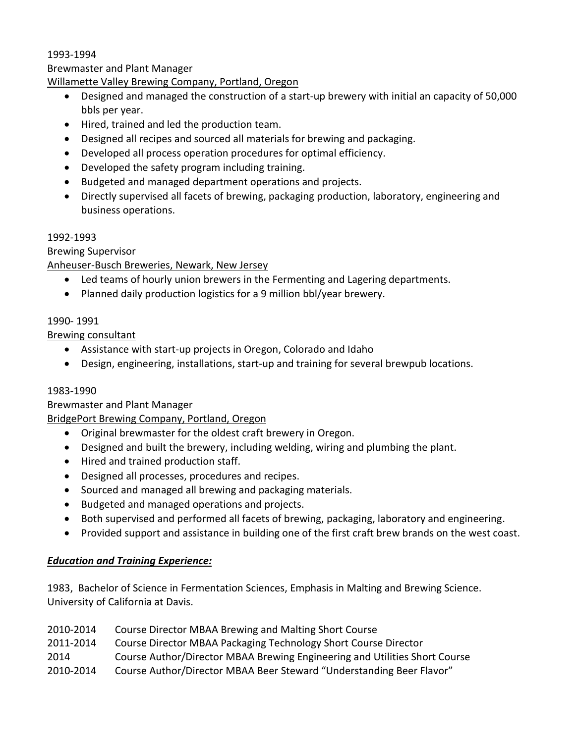#### 1993-1994

Brewmaster and Plant Manager

### Willamette Valley Brewing Company, Portland, Oregon

- Designed and managed the construction of a start-up brewery with initial an capacity of 50,000 bbls per year.
- Hired, trained and led the production team.
- Designed all recipes and sourced all materials for brewing and packaging.
- Developed all process operation procedures for optimal efficiency.
- Developed the safety program including training.
- Budgeted and managed department operations and projects.
- Directly supervised all facets of brewing, packaging production, laboratory, engineering and business operations.

### 1992-1993

Brewing Supervisor

Anheuser-Busch Breweries, Newark, New Jersey

- Led teams of hourly union brewers in the Fermenting and Lagering departments.
- Planned daily production logistics for a 9 million bbl/year brewery.

### 1990- 1991

Brewing consultant

- Assistance with start-up projects in Oregon, Colorado and Idaho
- Design, engineering, installations, start-up and training for several brewpub locations.

#### 1983-1990

Brewmaster and Plant Manager

BridgePort Brewing Company, Portland, Oregon

- Original brewmaster for the oldest craft brewery in Oregon.
- Designed and built the brewery, including welding, wiring and plumbing the plant.
- Hired and trained production staff.
- Designed all processes, procedures and recipes.
- Sourced and managed all brewing and packaging materials.
- Budgeted and managed operations and projects.
- Both supervised and performed all facets of brewing, packaging, laboratory and engineering.
- Provided support and assistance in building one of the first craft brew brands on the west coast.

## *Education and Training Experience:*

1983, Bachelor of Science in Fermentation Sciences, Emphasis in Malting and Brewing Science. University of California at Davis.

| 2010-2014 | Course Director MBAA Brewing and Malting Short Course                      |
|-----------|----------------------------------------------------------------------------|
| 2011-2014 | Course Director MBAA Packaging Technology Short Course Director            |
| 2014      | Course Author/Director MBAA Brewing Engineering and Utilities Short Course |
| 2010-2014 | Course Author/Director MBAA Beer Steward "Understanding Beer Flavor"       |